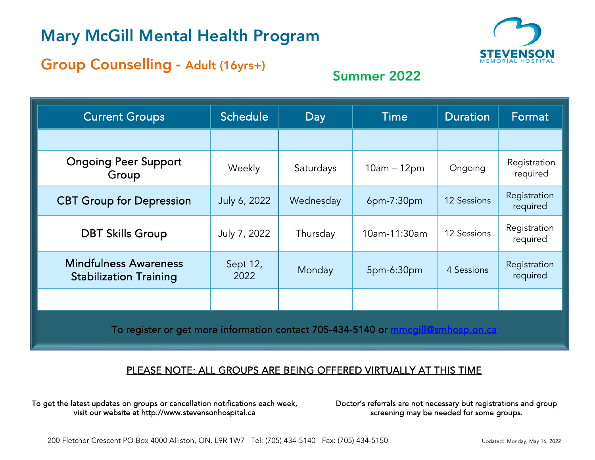## Mary McGill Mental Health Program



# Group Counselling - Adult (16yrs+) Summer 2022

| <b>Current Groups</b>                                                                     | Schedule         | Day       | Time          | <b>Duration</b>    | Format                   |
|-------------------------------------------------------------------------------------------|------------------|-----------|---------------|--------------------|--------------------------|
|                                                                                           |                  |           |               |                    |                          |
| <b>Ongoing Peer Support</b><br>Group                                                      | Weekly           | Saturdays | $10am - 12pm$ | Ongoing            | Registration<br>required |
| <b>CBT Group for Depression</b>                                                           | July 6, 2022     | Wednesday | $6pm-7:30pm$  | <b>12 Sessions</b> | Registration<br>required |
| <b>DBT Skills Group</b>                                                                   | July 7, 2022     | Thursday  | 10am-11:30am  | 12 Sessions        | Registration<br>required |
| <b>Mindfulness Awareness</b><br><b>Stabilization Training</b>                             | Sept 12,<br>2022 | Monday    | 5pm-6:30pm    | 4 Sessions         | Registration<br>required |
|                                                                                           |                  |           |               |                    |                          |
| To register or get more information contact 705-434-5140 or<br><u>mcqill@smhosp.on.ca</u> |                  |           |               |                    |                          |

## PLEASE NOTE: ALL GROUPS ARE BEING OFFERED VIRTUALLY AT THIS TIME

To get the latest updates on groups or cancellation notifications each week, visit our website at http://www.stevensonhospital.ca

Doctor's referrals are not necessary but registrations and group screening may be needed for some groups**.**